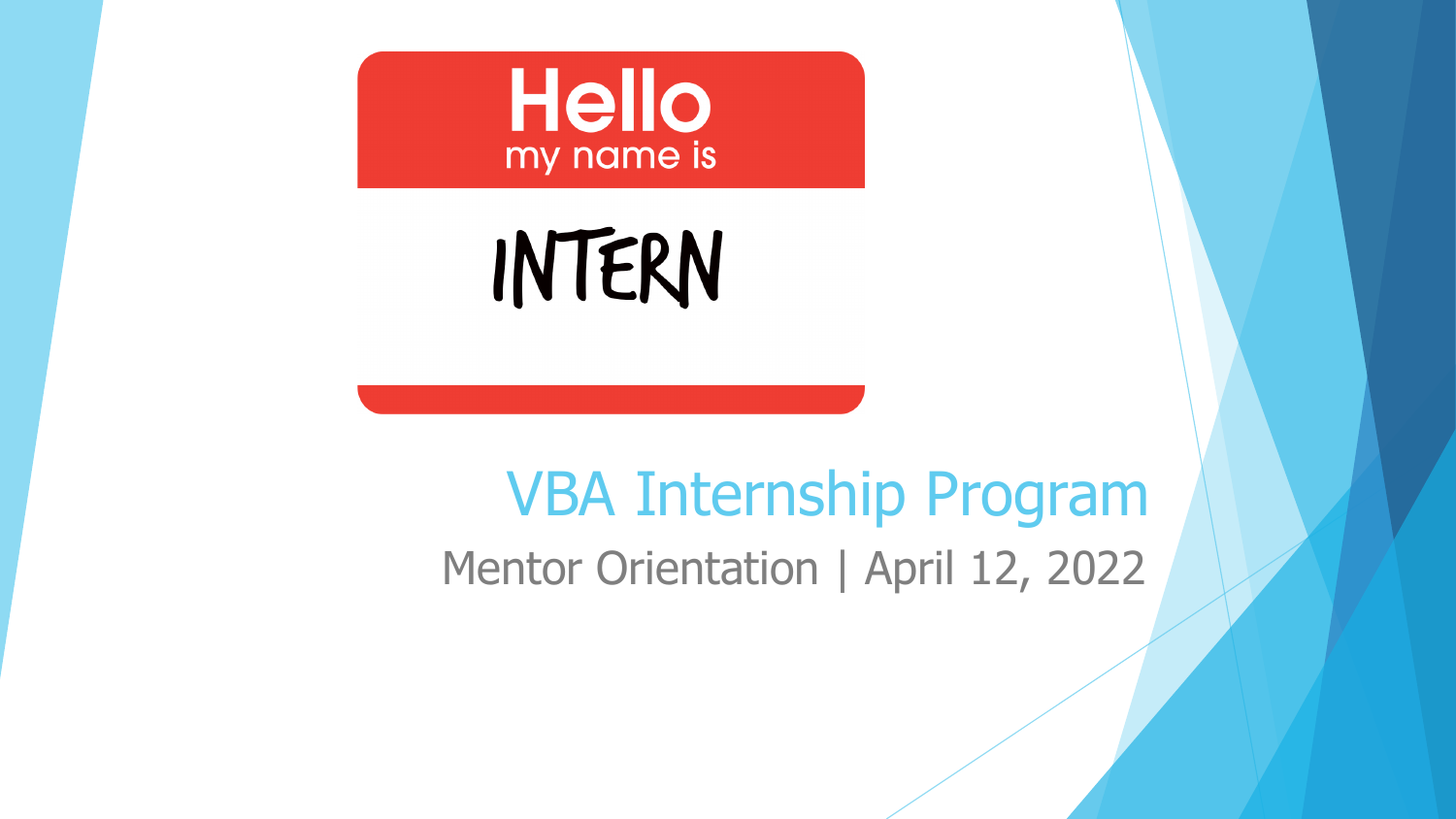

# INTERN

### VBA Internship Program Mentor Orientation | April 12, 2022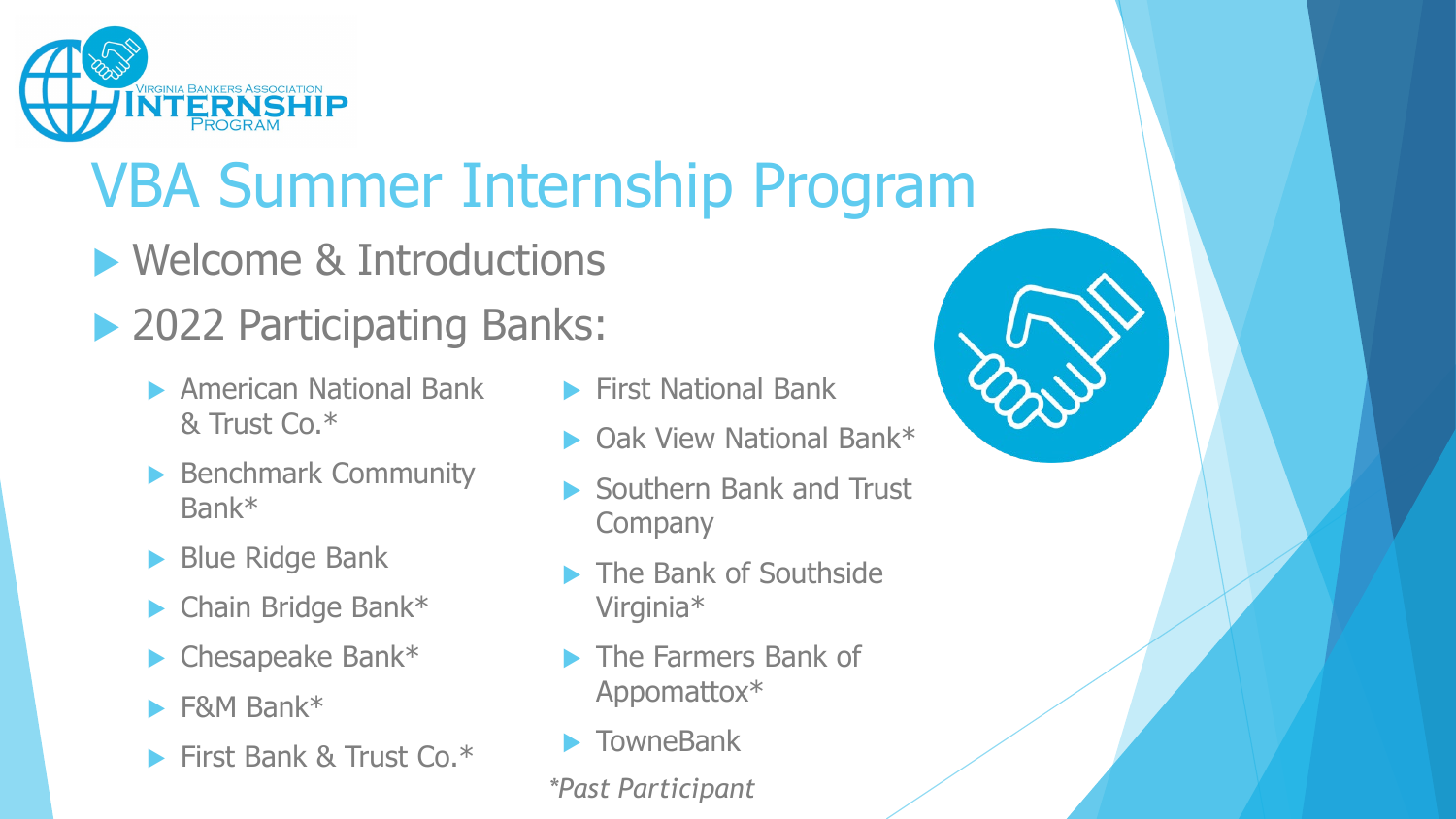

## VBA Summer Internship Program

- **Nelcome & Introductions**
- ▶ 2022 Participating Banks:
	- **American National Bank** & Trust Co.\*
	- Benchmark Community Bank\*
	- Blue Ridge Bank
	- ▶ Chain Bridge Bank\*
	- $\blacktriangleright$  Chesapeake Bank\*
	- F&M Bank\*
	- **First Bank & Trust Co.\***
- **First National Bank**
- Oak View National Bank\*
- Southern Bank and Trust **Company**
- The Bank of Southside Virginia\*
- The Farmers Bank of Appomattox\*
- **TowneBank**

*\*Past Participant*

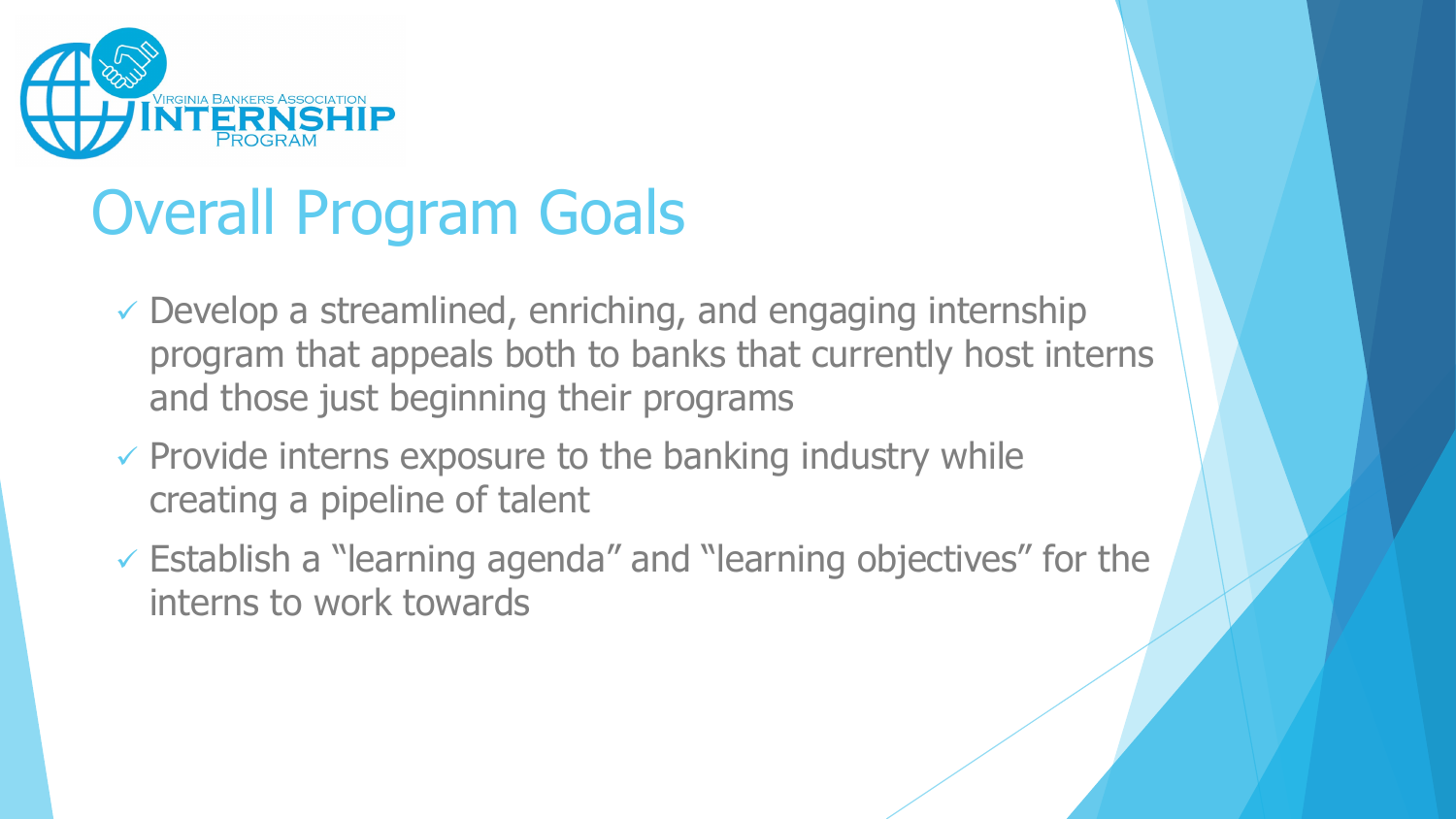

## Overall Program Goals

- $\checkmark$  Develop a streamlined, enriching, and engaging internship program that appeals both to banks that currently host interns and those just beginning their programs
- $\checkmark$  Provide interns exposure to the banking industry while creating a pipeline of talent
- Establish a "learning agenda" and "learning objectives" for the interns to work towards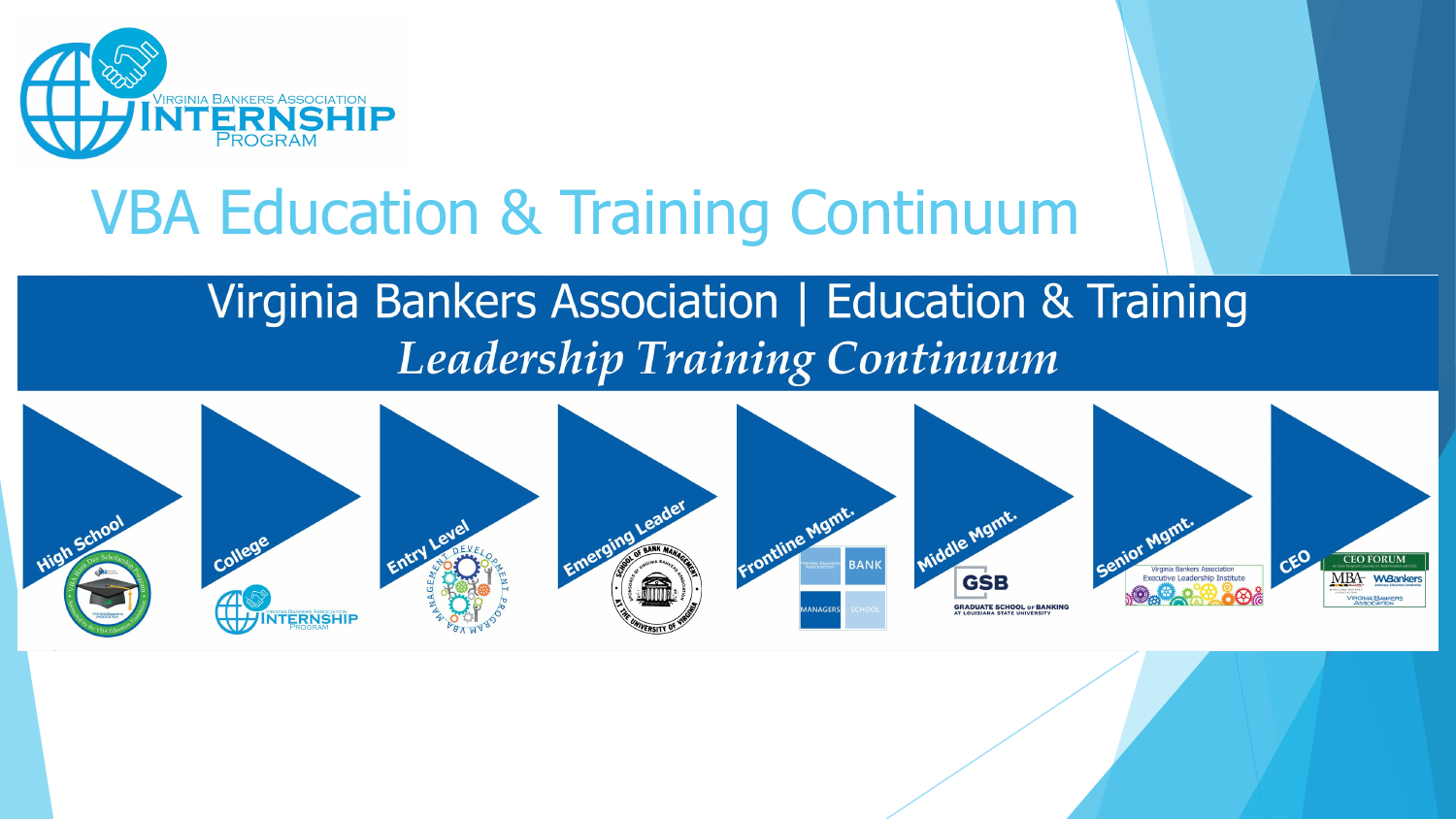

### VBA Education & Training Continuum

### Virginia Bankers Association | Education & Training **Leadership Training Continuum**

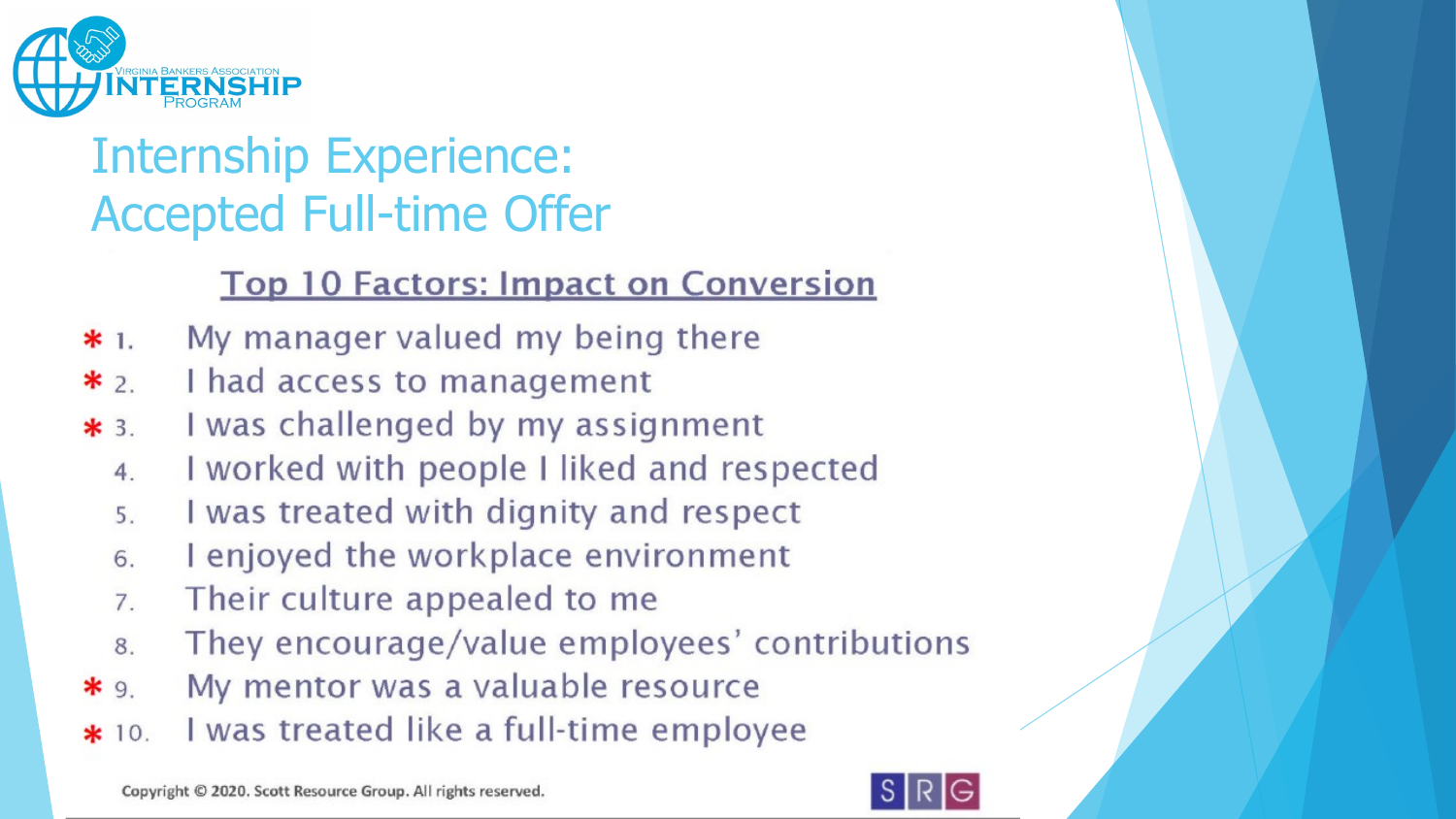

### Internship Experience: Accepted Full-time Offer

#### **Top 10 Factors: Impact on Conversion**

- My manager valued my being there  $*1.$
- I had access to management  $*_{2}$
- I was challenged by my assignment  $*3$ .
	- I worked with people I liked and respected  $\overline{4}$
	- I was treated with dignity and respect  $5<sup>1</sup>$
	- I enjoyed the workplace environment 6
	- Their culture appealed to me  $\overline{7}$
	- They encourage/value employees' contributions 8
- My mentor was a valuable resource  $*9$
- I was treated like a full-time employee  $*10.$

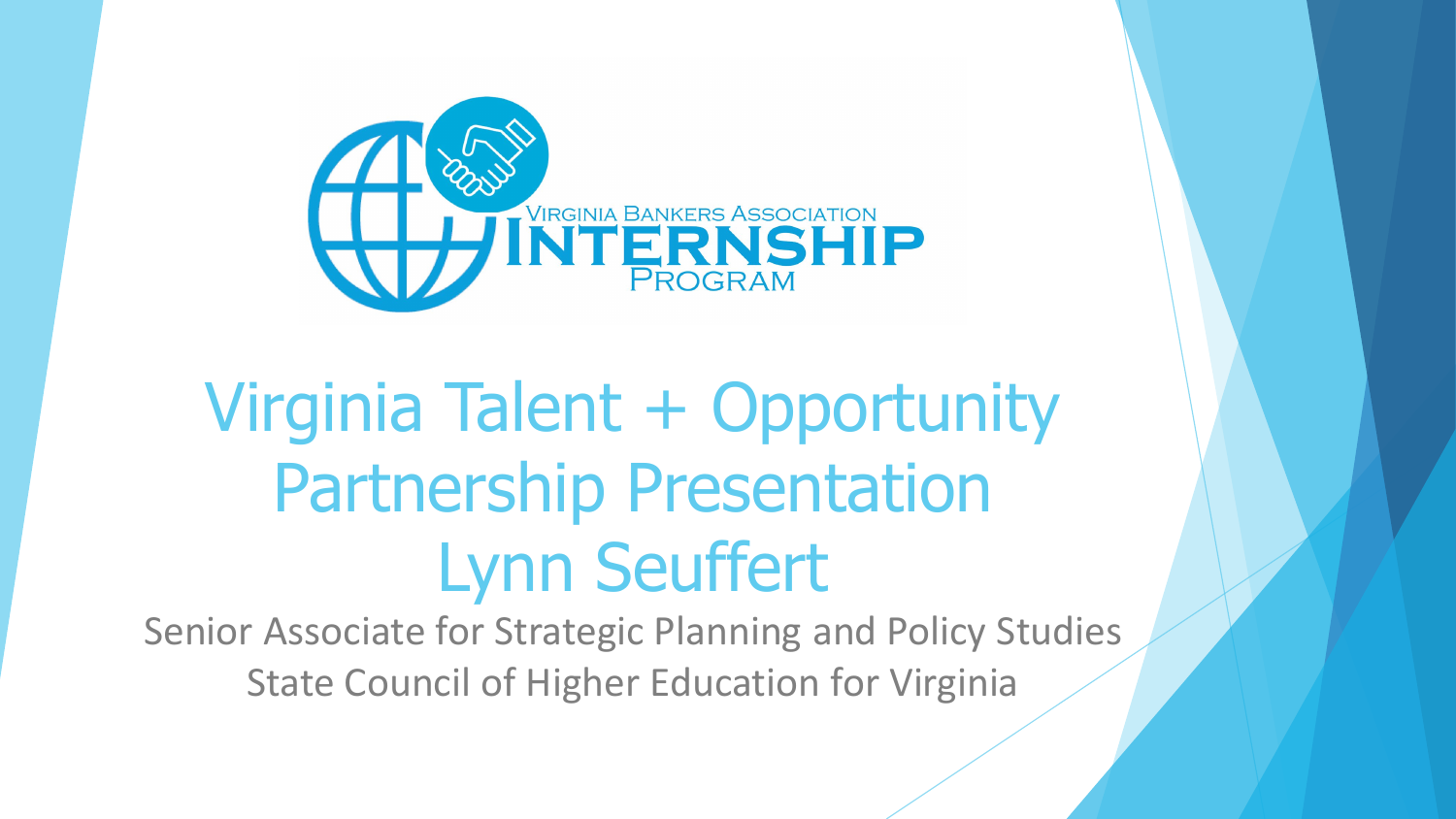

## Virginia Talent + Opportunity Partnership Presentation Lynn Seuffert

Senior Associate for Strategic Planning and Policy Studies State Council of Higher Education for Virginia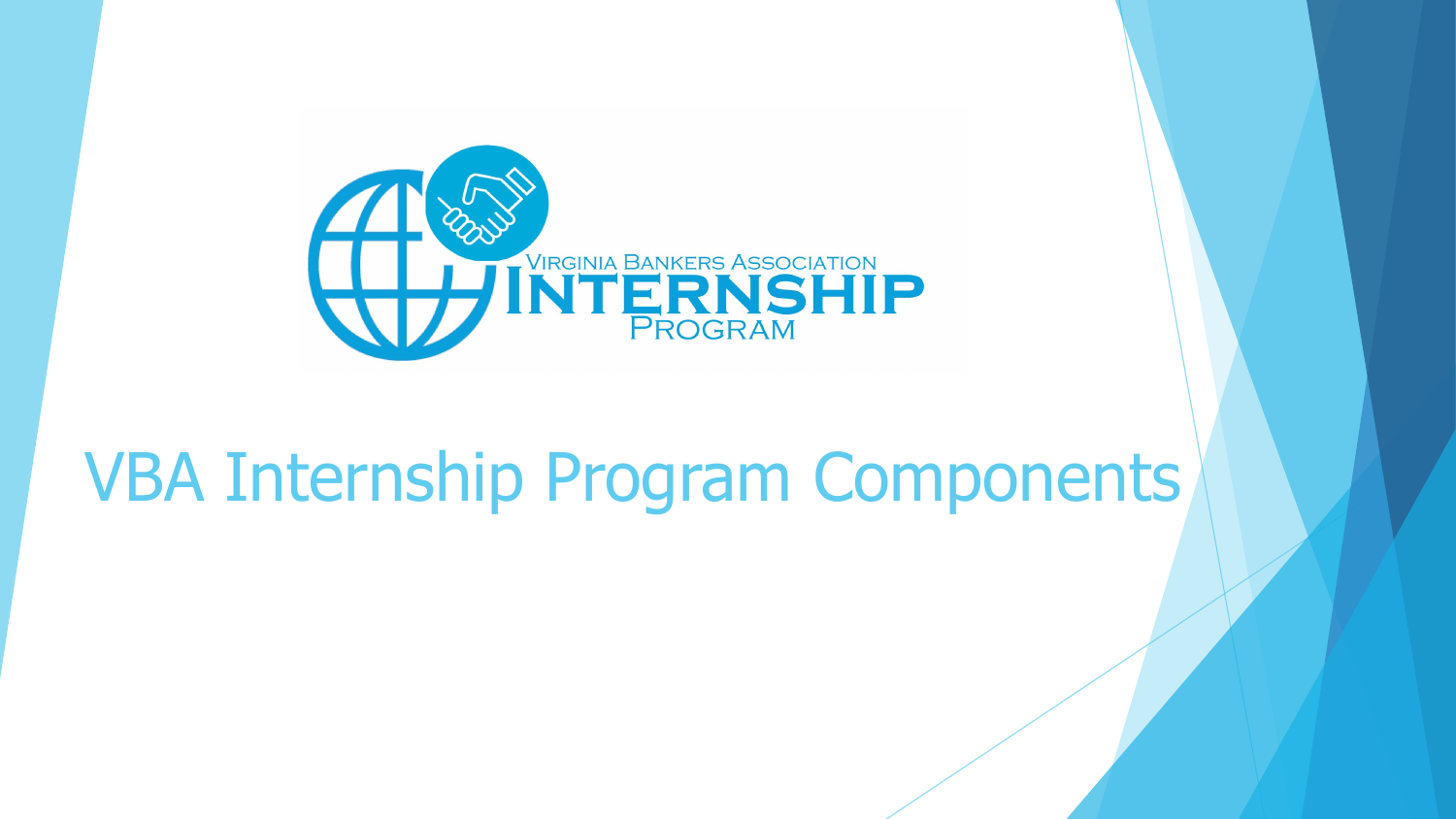

## VBA Internship Program Components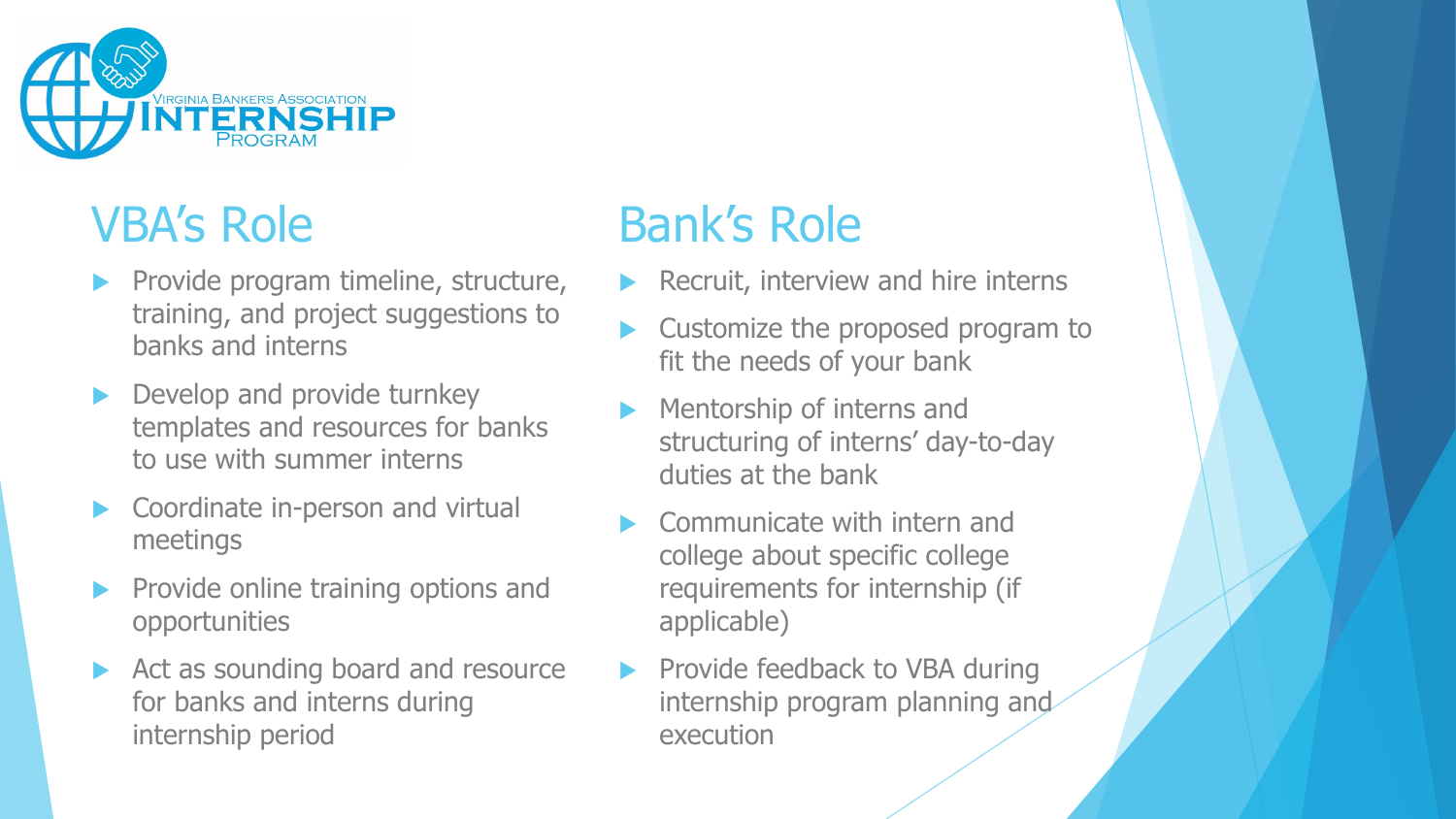

### VBA's Role

- Provide program timeline, structure, training, and project suggestions to banks and interns
- Develop and provide turnkey templates and resources for banks to use with summer interns
- Coordinate in-person and virtual meetings
- Provide online training options and opportunities
- Act as sounding board and resource for banks and interns during internship period

### Bank's Role

- Recruit, interview and hire interns
- Customize the proposed program to fit the needs of your bank
- Mentorship of interns and structuring of interns' day-to-day duties at the bank
- Communicate with intern and college about specific college requirements for internship (if applicable)
- Provide feedback to VBA during internship program planning and execution